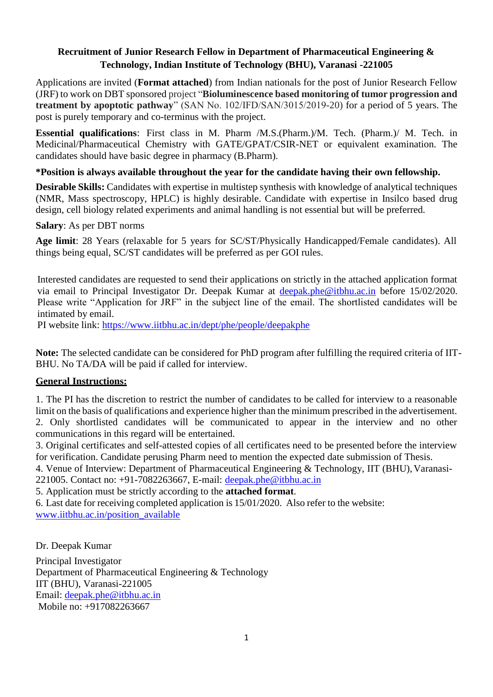### **Recruitment of Junior Research Fellow in Department of Pharmaceutical Engineering & Technology, Indian Institute of Technology (BHU), Varanasi -221005**

Applications are invited (**Format attached**) from Indian nationals for the post of Junior Research Fellow (JRF) to work on DBT sponsored project "**Bioluminescence based monitoring of tumor progression and treatment by apoptotic pathway**" (SAN No. 102/IFD/SAN/3015/2019-20) for a period of 5 years. The post is purely temporary and co-terminus with the project.

**Essential qualifications**: First class in M. Pharm /M.S.(Pharm.)/M. Tech. (Pharm.)/ M. Tech. in Medicinal/Pharmaceutical Chemistry with GATE/GPAT/CSIR-NET or equivalent examination. The candidates should have basic degree in pharmacy (B.Pharm).

## **\*Position is always available throughout the year for the candidate having their own fellowship.**

**Desirable Skills:** Candidates with expertise in multistep synthesis with knowledge of analytical techniques (NMR, Mass spectroscopy, HPLC) is highly desirable. Candidate with expertise in Insilco based drug design, cell biology related experiments and animal handling is not essential but will be preferred.

### **Salary**: As per DBT norms

**Age limit**: 28 Years (relaxable for 5 years for SC/ST/Physically Handicapped/Female candidates). All things being equal, SC/ST candidates will be preferred as per GOI rules.

Interested candidates are requested to send their applications on strictly in the attached application format via email to Principal Investigator Dr. Deepak Kumar at [deepak.phe@itbhu.ac.in](mailto:deepak.phe@itbhu.ac.in) before 15/02/2020. Please write "Application for JRF" in the subject line of the email. The shortlisted candidates will be intimated by email.

PI website link:<https://www.iitbhu.ac.in/dept/phe/people/deepakphe>

**Note:** The selected candidate can be considered for PhD program after fulfilling the required criteria of IIT-BHU. No TA/DA will be paid if called for interview.

### **General Instructions:**

1. The PI has the discretion to restrict the number of candidates to be called for interview to a reasonable limit on the basis of qualifications and experience higher than the minimum prescribed in the advertisement. 2. Only shortlisted candidates will be communicated to appear in the interview and no other communications in this regard will be entertained.

3. Original certificates and self-attested copies of all certificates need to be presented before the interview for verification. Candidate perusing Pharm need to mention the expected date submission of Thesis.

4. Venue of Interview: Department of Pharmaceutical Engineering & Technology, IIT (BHU), Varanasi-

221005. Contact no: +91-7082263667, E-mail: deepak.phe@itbhu.ac.in

### 5. Application must be strictly according to the **attached format**.

6. Last date for receiving completed application is 15/01/2020. Also refer to the website: [www.iitbhu.ac.in/position\\_available](http://www.iitbhu.ac.in/position_available)

Dr. Deepak Kumar

Principal Investigator Department of Pharmaceutical Engineering & Technology IIT (BHU), Varanasi-221005 Email: [deepak.phe@itbhu.ac.in](mailto:deepak.phe@itbhu.ac.in) Mobile no: +917082263667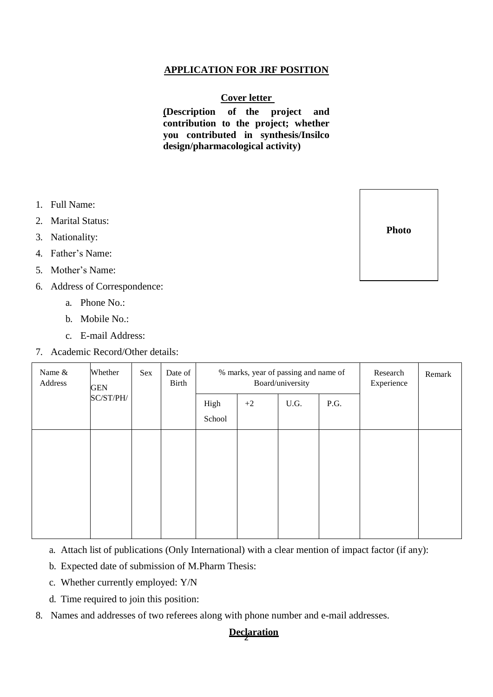## **APPLICATION FOR JRF POSITION**

#### **Cover letter**

**(Description of the project and contribution to the project; whether you contributed in synthesis/Insilco design/pharmacological activity)**

- 1. Full Name:
- 2. Marital Status:
- 3. Nationality:
- 4. Father's Name:
- 5. Mother's Name:
- 6. Address of Correspondence:
	- a. Phone No.:
	- b. Mobile No.:
	- c. E-mail Address:
- 7. Academic Record/Other details:

| Name &<br>Address | Whether<br><b>GEN</b><br>SC/ST/PH/ | Sex | Date of<br>Birth | % marks, year of passing and name of<br>Board/university |      |      |      | Research<br>Experience | Remark |
|-------------------|------------------------------------|-----|------------------|----------------------------------------------------------|------|------|------|------------------------|--------|
|                   |                                    |     |                  | High<br>School                                           | $+2$ | U.G. | P.G. |                        |        |
|                   |                                    |     |                  |                                                          |      |      |      |                        |        |
|                   |                                    |     |                  |                                                          |      |      |      |                        |        |
|                   |                                    |     |                  |                                                          |      |      |      |                        |        |

a. Attach list of publications (Only International) with a clear mention of impact factor (if any):

- b. Expected date of submission of M.Pharm Thesis:
- c. Whether currently employed: Y/N
- d. Time required to join this position:
- 8. Names and addresses of two referees along with phone number and e-mail addresses.

# 2 **Declaration**

**Photo**